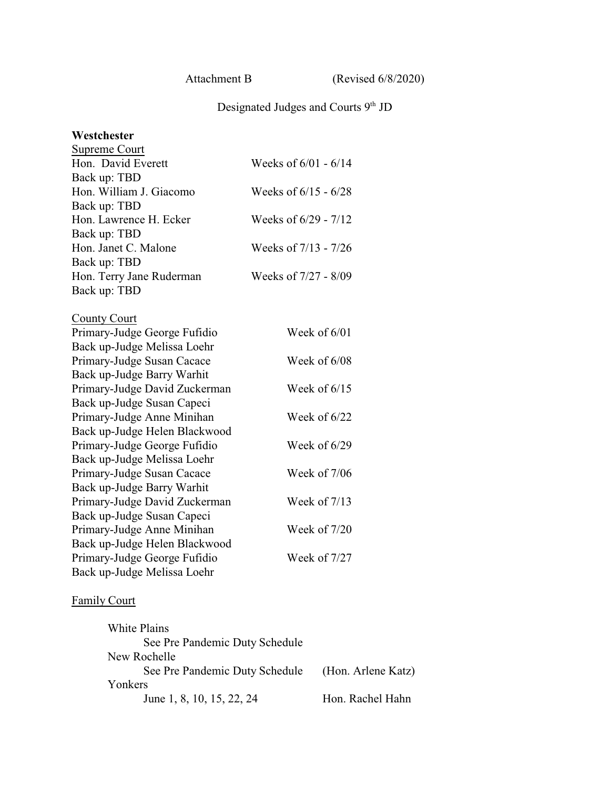Attachment B (Revised 6/8/2020)

#### Designated Judges and Courts 9<sup>th</sup> JD

# **Westchester** Supreme Court Hon. David Everett Weeks of  $6/01 - 6/14$ Back up: TBD Hon. William J. Giacomo Weeks of  $6/15 - 6/28$ Back up: TBD Hon. Lawrence H. Ecker Weeks of 6/29 - 7/12 Back up: TBD Hon. Janet C. Malone Weeks of 7/13 - 7/26 Back up: TBD Hon. Terry Jane Ruderman Weeks of 7/27 - 8/09 Back up: TBD County Court Primary-Judge George Fufidio Week of 6/01 Back up-Judge Melissa Loehr Primary-Judge Susan Cacace Week of 6/08 Back up-Judge Barry Warhit Primary-Judge David Zuckerman Week of 6/15 Back up-Judge Susan Capeci Primary-Judge Anne Minihan Week of 6/22 Back up-Judge Helen Blackwood Primary-Judge George Fufidio Week of 6/29 Back up-Judge Melissa Loehr Primary-Judge Susan Cacace Week of 7/06 Back up-Judge Barry Warhit Primary-Judge David Zuckerman Week of 7/13 Back up-Judge Susan Capeci Primary-Judge Anne Minihan Week of 7/20 Back up-Judge Helen Blackwood Primary-Judge George Fufidio Week of 7/27 Back up-Judge Melissa Loehr

#### Family Court

| White Plains                   |                    |
|--------------------------------|--------------------|
| See Pre Pandemic Duty Schedule |                    |
| New Rochelle                   |                    |
| See Pre Pandemic Duty Schedule | (Hon. Arlene Katz) |
| Yonkers                        |                    |
| June 1, 8, 10, 15, 22, 24      | Hon. Rachel Hahn   |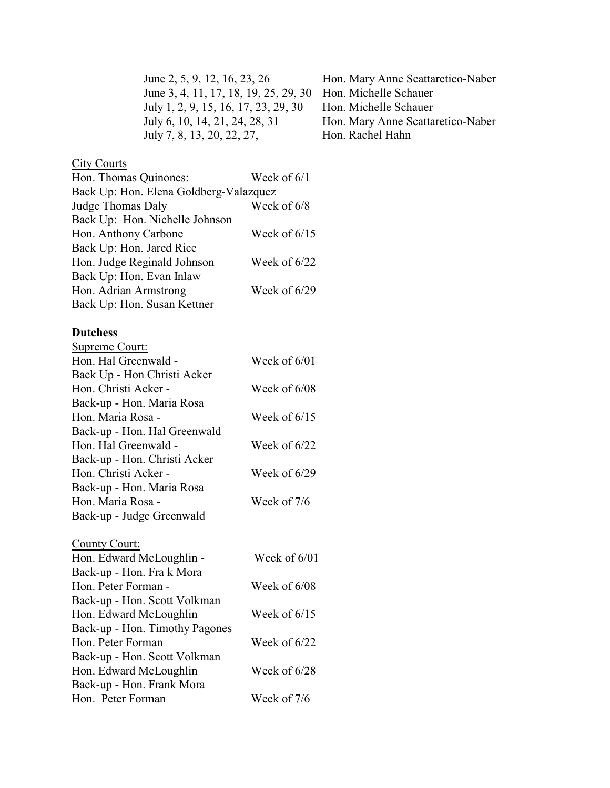June 2, 5, 9, 12, 16, 23, 26 Hon. Mary Anne Scattaretico-Naber June 3, 4, 11, 17, 18, 19, 25, 29, 30 Hon. Michelle Schauer July 1, 2, 9, 15, 16, 17, 23, 29, 30 Hon. Michelle Schauer<br>July 6, 10, 14, 21, 24, 28, 31 Hon. Mary Anne Scatta July 7, 8, 13, 20, 22, 27, Hon. Rachel Hahn

## **City Courts**

| Hon. Thomas Quinones:                  | Week of $6/1$  |
|----------------------------------------|----------------|
| Back Up: Hon. Elena Goldberg-Valazquez |                |
| Judge Thomas Daly                      | Week of 6/8    |
| Back Up: Hon. Nichelle Johnson         |                |
| Hon. Anthony Carbone                   | Week of $6/15$ |
| Back Up: Hon. Jared Rice               |                |
| Hon. Judge Reginald Johnson            | Week of 6/22   |
| Back Up: Hon. Evan Inlaw               |                |
| Hon. Adrian Armstrong                  | Week of 6/29   |
| Back Up: Hon. Susan Kettner            |                |
|                                        |                |

# **Dutchess**

| Supreme Court:               |                |
|------------------------------|----------------|
| Hon. Hal Greenwald -         | Week of $6/01$ |
| Back Up - Hon Christi Acker  |                |
| Hon. Christi Acker -         | Week of 6/08   |
| Back-up - Hon. Maria Rosa    |                |
| Hon. Maria Rosa -            | Week of $6/15$ |
| Back-up - Hon. Hal Greenwald |                |
| Hon. Hal Greenwald -         | Week of $6/22$ |
| Back-up - Hon. Christi Acker |                |
| Hon. Christi Acker -         | Week of $6/29$ |
| Back-up - Hon. Maria Rosa    |                |
| Hon. Maria Rosa -            | Week of 7/6    |
| Back-up - Judge Greenwald    |                |
| County Court:                |                |
|                              |                |

| Week of $6/01$ |
|----------------|
|                |
| Week of $6/08$ |
|                |
| Week of $6/15$ |
|                |
| Week of $6/22$ |
|                |
| Week of $6/28$ |
|                |
| Week of $7/6$  |
|                |

Hon. Mary Anne Scattaretico-Naber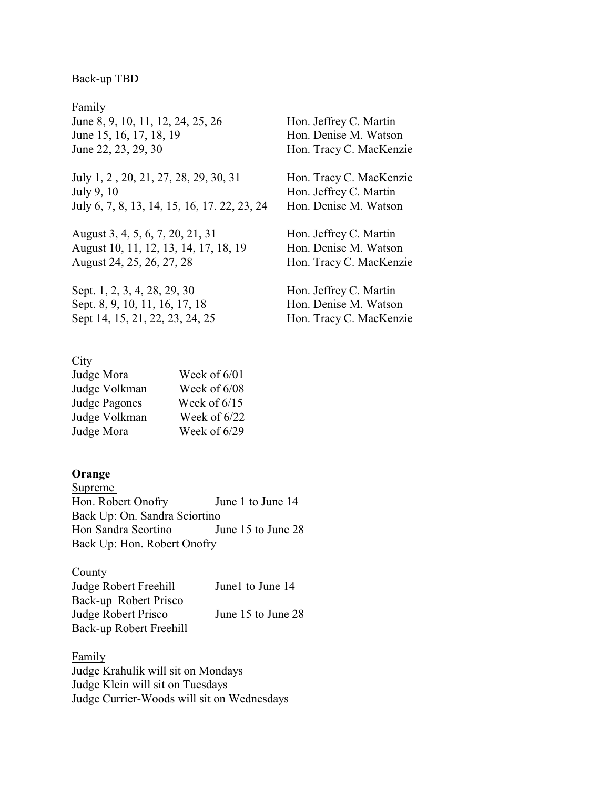#### Back-up TBD

Family June 8, 9, 10, 11, 12, 24, 25, 26 Hon. Jeffrey C. Martin June 15, 16, 17, 18, 19 Hon. Denise M. Watson June 22, 23, 29, 30 Hon. Tracy C. MacKenzie

July 1, 2, 20, 21, 27, 28, 29, 30, 31 Hon. Tracy C. MacKenzie July 9, 10 Hon. Jeffrey C. Martin July 6, 7, 8, 13, 14, 15, 16, 17. 22, 23, 24 Hon. Denise M. Watson

August 3, 4, 5, 6, 7, 20, 21, 31 Hon. Jeffrey C. Martin August 10, 11, 12, 13, 14, 17, 18, 19 Hon. Denise M. Watson August 24, 25, 26, 27, 28 Hon. Tracy C. MacKenzie

Sept. 1, 2, 3, 4, 28, 29, 30 Hon. Jeffrey C. Martin Sept. 8, 9, 10, 11, 16, 17, 18 Hon. Denise M. Watson Sept 14, 15, 21, 22, 23, 24, 25 Hon. Tracy C. MacKenzie

#### City

| Judge Mora           | Week of 6/01   |
|----------------------|----------------|
| Judge Volkman        | Week of 6/08   |
| <b>Judge Pagones</b> | Week of $6/15$ |
| Judge Volkman        | Week of $6/22$ |
| Judge Mora           | Week of 6/29   |

#### **Orange**

Supreme Hon. Robert Onofry June 1 to June 14 Back Up: On. Sandra Sciortino Hon Sandra Scortino June 15 to June 28 Back Up: Hon. Robert Onofry

County Judge Robert Freehill June1 to June 14 Back-up Robert Prisco Judge Robert Prisco June 15 to June 28 Back-up Robert Freehill

Family Judge Krahulik will sit on Mondays Judge Klein will sit on Tuesdays Judge Currier-Woods will sit on Wednesdays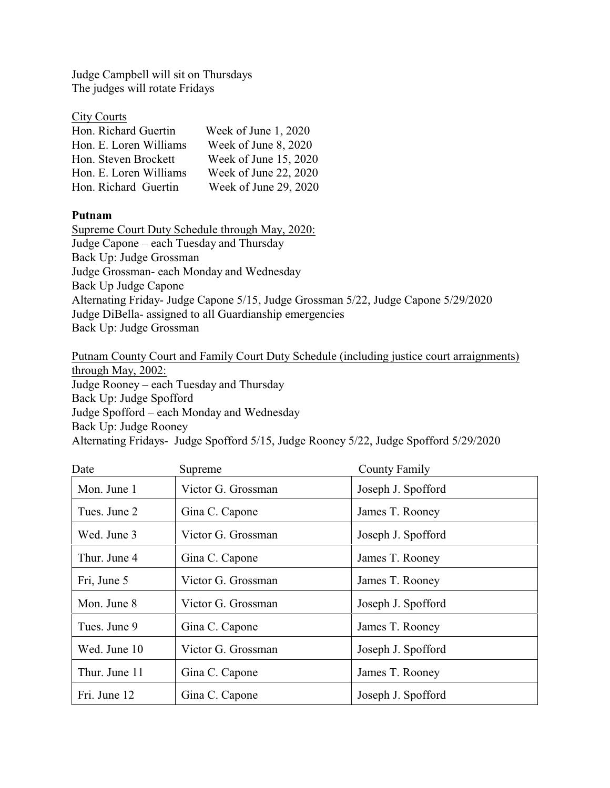Judge Campbell will sit on Thursdays The judges will rotate Fridays

| <b>City Courts</b> |  |
|--------------------|--|
| Hon Richard Guer   |  |

| Hon. Richard Guertin   | Week of June 1, 2020  |
|------------------------|-----------------------|
| Hon. E. Loren Williams | Week of June 8, 2020  |
| Hon. Steven Brockett   | Week of June 15, 2020 |
| Hon. E. Loren Williams | Week of June 22, 2020 |
| Hon. Richard Guertin   | Week of June 29, 2020 |

### **Putnam**

Supreme Court Duty Schedule through May, 2020: Judge Capone – each Tuesday and Thursday Back Up: Judge Grossman Judge Grossman- each Monday and Wednesday Back Up Judge Capone Alternating Friday- Judge Capone 5/15, Judge Grossman 5/22, Judge Capone 5/29/2020 Judge DiBella- assigned to all Guardianship emergencies Back Up: Judge Grossman

Putnam County Court and Family Court Duty Schedule (including justice court arraignments) through May, 2002: Judge Rooney – each Tuesday and Thursday Back Up: Judge Spofford Judge Spofford – each Monday and Wednesday Back Up: Judge Rooney Alternating Fridays- Judge Spofford 5/15, Judge Rooney 5/22, Judge Spofford 5/29/2020

| Date          | Supreme            | <b>County Family</b> |
|---------------|--------------------|----------------------|
| Mon. June 1   | Victor G. Grossman | Joseph J. Spofford   |
| Tues. June 2  | Gina C. Capone     | James T. Rooney      |
| Wed. June 3   | Victor G. Grossman | Joseph J. Spofford   |
| Thur. June 4  | Gina C. Capone     | James T. Rooney      |
| Fri, June 5   | Victor G. Grossman | James T. Rooney      |
| Mon. June 8   | Victor G. Grossman | Joseph J. Spofford   |
| Tues. June 9  | Gina C. Capone     | James T. Rooney      |
| Wed. June 10  | Victor G. Grossman | Joseph J. Spofford   |
| Thur. June 11 | Gina C. Capone     | James T. Rooney      |
| Fri. June 12  | Gina C. Capone     | Joseph J. Spofford   |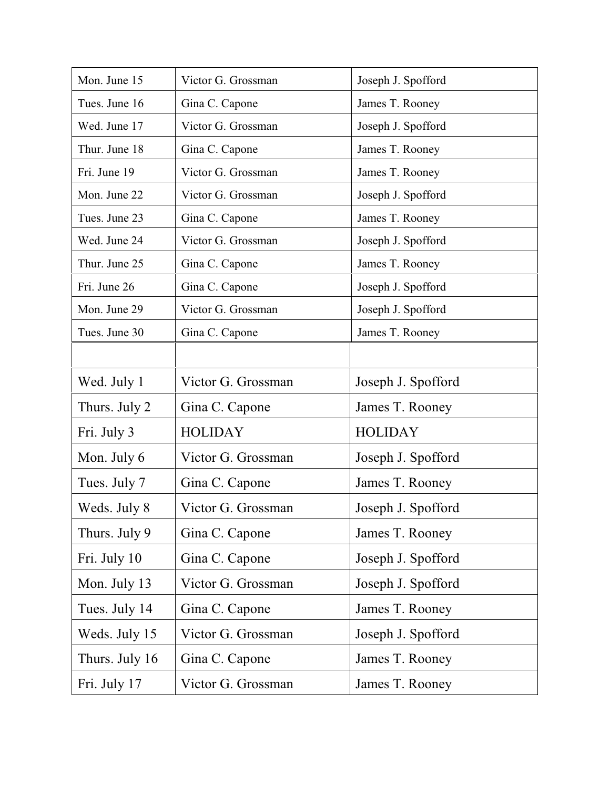| Mon. June 15   | Victor G. Grossman | Joseph J. Spofford |
|----------------|--------------------|--------------------|
| Tues. June 16  | Gina C. Capone     | James T. Rooney    |
| Wed. June 17   | Victor G. Grossman | Joseph J. Spofford |
| Thur. June 18  | Gina C. Capone     | James T. Rooney    |
| Fri. June 19   | Victor G. Grossman | James T. Rooney    |
| Mon. June 22   | Victor G. Grossman | Joseph J. Spofford |
| Tues. June 23  | Gina C. Capone     | James T. Rooney    |
| Wed. June 24   | Victor G. Grossman | Joseph J. Spofford |
| Thur. June 25  | Gina C. Capone     | James T. Rooney    |
| Fri. June 26   | Gina C. Capone     | Joseph J. Spofford |
| Mon. June 29   | Victor G. Grossman | Joseph J. Spofford |
| Tues. June 30  | Gina C. Capone     | James T. Rooney    |
|                |                    |                    |
| Wed. July 1    | Victor G. Grossman | Joseph J. Spofford |
| Thurs. July 2  | Gina C. Capone     | James T. Rooney    |
| Fri. July 3    | <b>HOLIDAY</b>     | <b>HOLIDAY</b>     |
| Mon. July 6    | Victor G. Grossman | Joseph J. Spofford |
| Tues. July 7   | Gina C. Capone     | James T. Rooney    |
| Weds. July 8   | Victor G. Grossman | Joseph J. Spofford |
| Thurs. July 9  | Gina C. Capone     | James T. Rooney    |
| Fri. July 10   | Gina C. Capone     | Joseph J. Spofford |
| Mon. July 13   | Victor G. Grossman | Joseph J. Spofford |
| Tues. July 14  | Gina C. Capone     | James T. Rooney    |
| Weds. July 15  | Victor G. Grossman | Joseph J. Spofford |
| Thurs. July 16 | Gina C. Capone     | James T. Rooney    |
| Fri. July 17   | Victor G. Grossman | James T. Rooney    |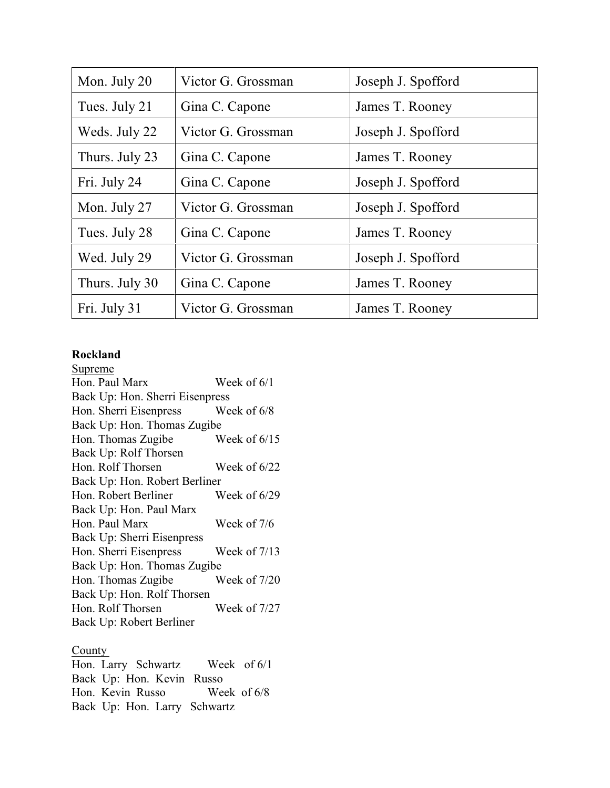| Mon. July 20   | Victor G. Grossman | Joseph J. Spofford |
|----------------|--------------------|--------------------|
| Tues. July 21  | Gina C. Capone     | James T. Rooney    |
| Weds. July 22  | Victor G. Grossman | Joseph J. Spofford |
| Thurs. July 23 | Gina C. Capone     | James T. Rooney    |
| Fri. July 24   | Gina C. Capone     | Joseph J. Spofford |
| Mon. July 27   | Victor G. Grossman | Joseph J. Spofford |
| Tues. July 28  | Gina C. Capone     | James T. Rooney    |
| Wed. July 29   | Victor G. Grossman | Joseph J. Spofford |
| Thurs. July 30 | Gina C. Capone     | James T. Rooney    |
| Fri. July 31   | Victor G. Grossman | James T. Rooney    |

# **Rockland**

| Supreme                         |                |
|---------------------------------|----------------|
| Hon. Paul Marx                  | Week of 6/1    |
| Back Up: Hon. Sherri Eisenpress |                |
| Hon. Sherri Eisenpress          | Week of $6/8$  |
| Back Up: Hon. Thomas Zugibe     |                |
| Hon. Thomas Zugibe              | Week of $6/15$ |
| Back Up: Rolf Thorsen           |                |
| Hon. Rolf Thorsen               | Week of $6/22$ |
| Back Up: Hon. Robert Berliner   |                |
| Hon. Robert Berliner            | Week of $6/29$ |
| Back Up: Hon. Paul Marx         |                |
| Hon. Paul Marx                  | Week of 7/6    |
| Back Up: Sherri Eisenpress      |                |
| Hon. Sherri Eisenpress          | Week of $7/13$ |
| Back Up: Hon. Thomas Zugibe     |                |
| Hon. Thomas Zugibe              | Week of 7/20   |
| Back Up: Hon. Rolf Thorsen      |                |
| Hon. Rolf Thorsen               | Week of 7/27   |
| Back Up: Robert Berliner        |                |
|                                 |                |

# **County**

Hon. Larry Schwartz Week of 6/1 Back Up: Hon. Kevin Russo Hon. Kevin Russo Week of 6/8 Back Up: Hon. Larry Schwartz